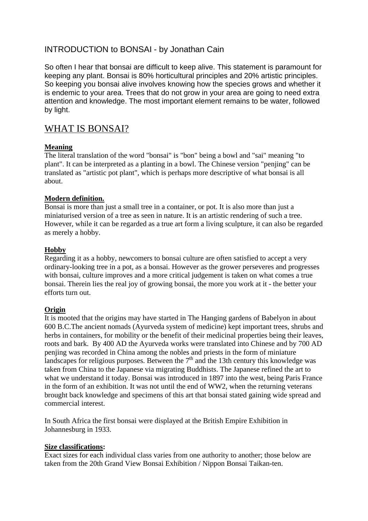# INTRODUCTION to BONSAI - by Jonathan Cain

So often I hear that bonsai are difficult to keep alive. This statement is paramount for keeping any plant. Bonsai is 80% horticultural principles and 20% artistic principles. So keeping you bonsai alive involves knowing how the species grows and whether it is endemic to your area. Trees that do not grow in your area are going to need extra attention and knowledge. The most important element remains to be water, followed by light.

## WHAT IS BONSAI?

## **Meaning**

The literal translation of the word "bonsai" is "bon" being a bowl and "sai" meaning "to plant". It can be interpreted as a planting in a bowl. The Chinese version "penjing" can be translated as "artistic pot plant", which is perhaps more descriptive of what bonsai is all about.

## **Modern definition.**

Bonsai is more than just a small tree in a container, or pot. It is also more than just a miniaturised version of a tree as seen in nature. It is an artistic rendering of such a tree. However, while it can be regarded as a true art form a living sculpture, it can also be regarded as merely a hobby.

## **Hobby**

Regarding it as a hobby, newcomers to bonsai culture are often satisfied to accept a very ordinary-looking tree in a pot, as a bonsai. However as the grower perseveres and progresses with bonsai, culture improves and a more critical judgement is taken on what comes a true bonsai. Therein lies the real joy of growing bonsai, the more you work at it - the better your efforts turn out.

#### **Origin**

It is mooted that the origins may have started in The Hanging gardens of Babelyon in about 600 B.C.The ancient nomads (Ayurveda system of medicine) kept important trees, shrubs and herbs in containers, for mobility or the benefit of their medicinal properties being their leaves, roots and bark. By 400 AD the Ayurveda works were translated into Chinese and by 700 AD penjing was recorded in China among the nobles and priests in the form of miniature landscapes for religious purposes. Between the  $7<sup>th</sup>$  and the 13th century this knowledge was taken from China to the Japanese via migrating Buddhists. The Japanese refined the art to what we understand it today. Bonsai was introduced in 1897 into the west, being Paris France in the form of an exhibition. It was not until the end of WW2, when the returning veterans brought back knowledge and specimens of this art that bonsai stated gaining wide spread and commercial interest.

In South Africa the first bonsai were displayed at the British Empire Exhibition in Johannesburg in 1933.

#### **Size classifications:**

Exact sizes for each individual class varies from one authority to another; those below are taken from the 20th Grand View Bonsai Exhibition / Nippon Bonsai Taikan-ten.